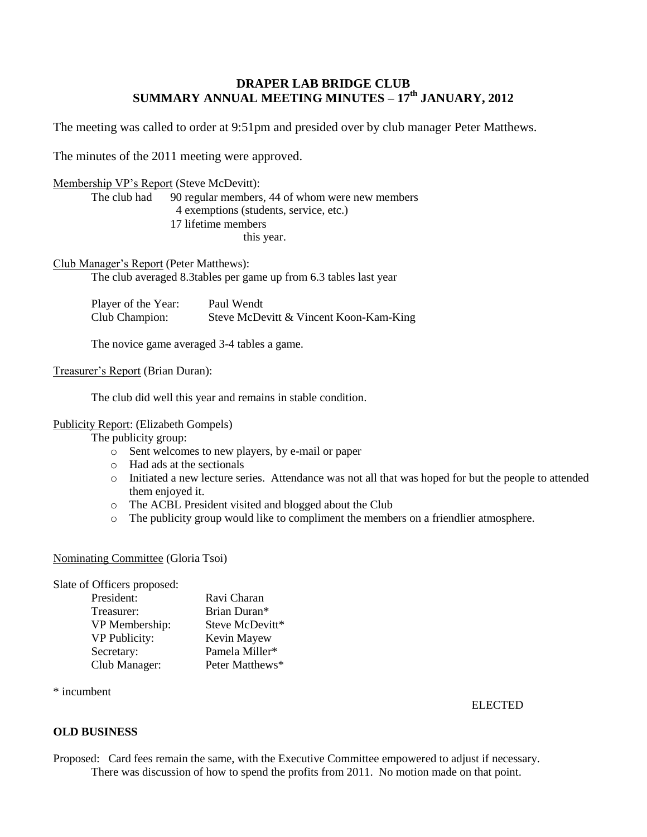# **DRAPER LAB BRIDGE CLUB SUMMARY ANNUAL MEETING MINUTES – 17th JANUARY, 2012**

The meeting was called to order at 9:51pm and presided over by club manager Peter Matthews.

The minutes of the 2011 meeting were approved.

#### Membership VP's Report (Steve McDevitt):

The club had 90 regular members, 44 of whom were new members 4 exemptions (students, service, etc.) 17 lifetime members this year.

Club Manager's Report (Peter Matthews):

The club averaged 8.3tables per game up from 6.3 tables last year

| Player of the Year: | Paul Wendt                             |
|---------------------|----------------------------------------|
| Club Champion:      | Steve McDevitt & Vincent Koon-Kam-King |

The novice game averaged 3-4 tables a game.

# Treasurer's Report (Brian Duran):

The club did well this year and remains in stable condition.

#### Publicity Report: (Elizabeth Gompels)

The publicity group:

- o Sent welcomes to new players, by e-mail or paper
- o Had ads at the sectionals
- o Initiated a new lecture series. Attendance was not all that was hoped for but the people to attended them enjoyed it.
- o The ACBL President visited and blogged about the Club
- o The publicity group would like to compliment the members on a friendlier atmosphere.

# Nominating Committee (Gloria Tsoi)

Slate of Officers proposed:

| President:           | Ravi Charan     |
|----------------------|-----------------|
| Treasurer:           | Brian Duran*    |
| VP Membership:       | Steve McDevitt* |
| <b>VP Publicity:</b> | Kevin Mayew     |
| Secretary:           | Pamela Miller*  |
| Club Manager:        | Peter Matthews* |

\* incumbent

ELECTED

# **OLD BUSINESS**

Proposed: Card fees remain the same, with the Executive Committee empowered to adjust if necessary. There was discussion of how to spend the profits from 2011. No motion made on that point.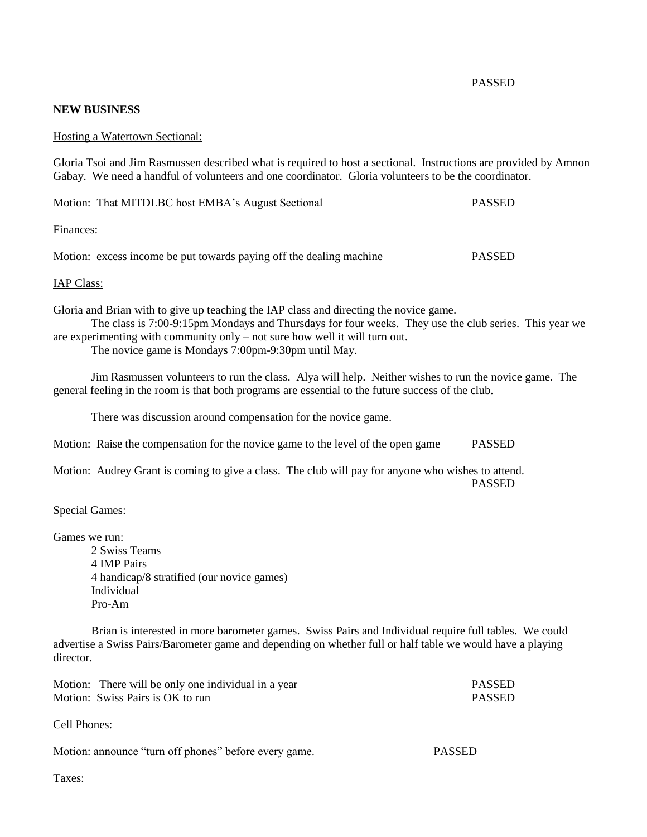#### PASSED

# **NEW BUSINESS**

#### Hosting a Watertown Sectional:

Gloria Tsoi and Jim Rasmussen described what is required to host a sectional. Instructions are provided by Amnon Gabay. We need a handful of volunteers and one coordinator. Gloria volunteers to be the coordinator.

| Motion: That MITDLBC host EMBA's August Sectional                   | <b>PASSED</b> |
|---------------------------------------------------------------------|---------------|
| Finances:                                                           |               |
| Motion: excess income be put towards paying off the dealing machine | <b>PASSED</b> |

#### IAP Class:

Gloria and Brian with to give up teaching the IAP class and directing the novice game.

The class is 7:00-9:15pm Mondays and Thursdays for four weeks. They use the club series. This year we are experimenting with community only – not sure how well it will turn out.

The novice game is Mondays 7:00pm-9:30pm until May.

Jim Rasmussen volunteers to run the class. Alya will help. Neither wishes to run the novice game. The general feeling in the room is that both programs are essential to the future success of the club.

There was discussion around compensation for the novice game.

Motion: Raise the compensation for the novice game to the level of the open game PASSED

Motion: Audrey Grant is coming to give a class. The club will pay for anyone who wishes to attend. PASSED

#### Special Games:

Games we run:

2 Swiss Teams 4 IMP Pairs 4 handicap/8 stratified (our novice games) Individual Pro-Am

Brian is interested in more barometer games. Swiss Pairs and Individual require full tables. We could advertise a Swiss Pairs/Barometer game and depending on whether full or half table we would have a playing director.

| Motion: There will be only one individual in a year | <b>PASSED</b> |
|-----------------------------------------------------|---------------|
| Motion: Swiss Pairs is OK to run                    | <b>PASSED</b> |

#### Cell Phones:

| Motion: announce "turn off phones" before every game. | <b>PASSED</b> |
|-------------------------------------------------------|---------------|
|-------------------------------------------------------|---------------|

Taxes: